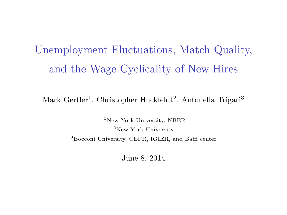# Unemployment Fluctuations, Match Quality, and the Wage Cyclicality of New Hires

Mark Gertler<sup>1</sup>, Christopher Huckfeldt<sup>2</sup>, Antonella Trigari<sup>3</sup>

<sup>1</sup>New York University, NBER  $2$ New York University <sup>3</sup>Bocconi University, CEPR, IGIER, and Baffi center

June 8, 2014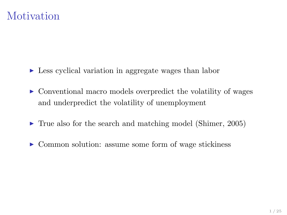## **Motivation**

- $\triangleright$  Less cyclical variation in aggregate wages than labor
- $\triangleright$  Conventional macro models overpredict the volatility of wages and underpredict the volatility of unemployment
- $\blacktriangleright$  True also for the search and matching model (Shimer, 2005)
- $\triangleright$  Common solution: assume some form of wage stickiness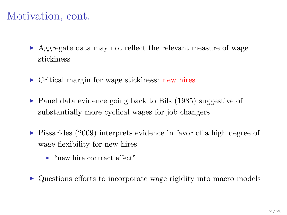## Motivation, cont.

- $\triangleright$  Aggregate data may not reflect the relevant measure of wage stickiness
- $\triangleright$  Critical margin for wage stickiness: new hires
- $\triangleright$  Panel data evidence going back to Bils (1985) suggestive of substantially more cyclical wages for job changers
- $\triangleright$  Pissarides (2009) interprets evidence in favor of a high degree of wage flexibility for new hires
	- $\blacktriangleright$  "new hire contract effect"
- Questions efforts to incorporate wage rigidity into macro models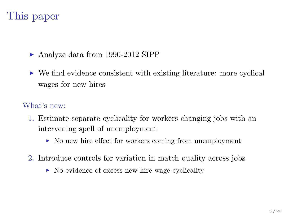## This paper

 $\blacktriangleright$  Analyze data from 1990-2012 SIPP

 $\triangleright$  We find evidence consistent with existing literature: more cyclical wages for new hires

#### What's new:

- 1. Estimate separate cyclicality for workers changing jobs with an intervening spell of unemployment
	- $\triangleright$  No new hire effect for workers coming from unemployment
- 2. Introduce controls for variation in match quality across jobs
	- $\triangleright$  No evidence of excess new hire wage cyclicality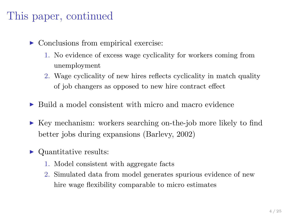## This paper, continued

- $\triangleright$  Conclusions from empirical exercise:
	- 1. No evidence of excess wage cyclicality for workers coming from unemployment
	- 2. Wage cyclicality of new hires reflects cyclicality in match quality of job changers as opposed to new hire contract effect
- $\triangleright$  Build a model consistent with micro and macro evidence
- $\triangleright$  Key mechanism: workers searching on-the-job more likely to find better jobs during expansions (Barlevy, 2002)
- $\triangleright$  Quantitative results:
	- 1. Model consistent with aggregate facts
	- 2. Simulated data from model generates spurious evidence of new hire wage flexibility comparable to micro estimates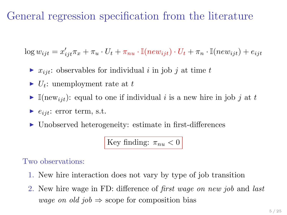## General regression specification from the literature

 $\log w_{ijt} = x'_{ijt}\pi_x + \pi_u \cdot U_t + \pi_{nu} \cdot \mathbb{I}(new_{ijt}) \cdot U_t + \pi_n \cdot \mathbb{I}(new_{ijt}) + e_{ijt}$ 

- $\triangleright$   $x_{ijt}$ : observables for individual i in job j at time t
- $\blacktriangleright$   $U_t$ : unemployment rate at t
- $\blacktriangleright$  I(new<sub>ijt</sub>): equal to one if individual i is a new hire in job j at t
- $\blacktriangleright$   $e_{ijt}$ : error term, s.t.
- ▶ Unobserved heterogeneity: estimate in first-differences

Key finding:  $\pi_{nu} < 0$ 

Two observations:

- 1. New hire interaction does not vary by type of job transition
- 2. New hire wage in FD: difference of first wage on new job and last wage on old job  $\Rightarrow$  scope for composition bias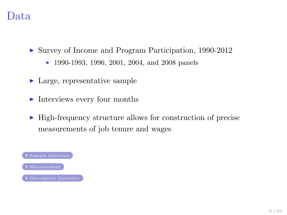#### Data

- <span id="page-6-0"></span>▶ Survey of Income and Program Participation, 1990-2012
	- $\blacktriangleright$  1990-1993, 1996, 2001, 2004, and 2008 panels
- $\blacktriangleright$  Large, representative sample
- $\blacktriangleright$  Interviews every four months
- <sup>I</sup> High-frequency structure allows for construction of precise measurements of job tenure and wages

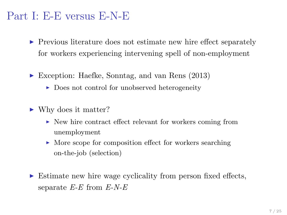#### Part I: E-E versus E-N-E

- $\triangleright$  Previous literature does not estimate new hire effect separately for workers experiencing intervening spell of non-employment
- $\blacktriangleright$  Exception: Haefke, Sonntag, and van Rens (2013)
	- $\triangleright$  Does not control for unobserved heterogeneity
- $\blacktriangleright$  Why does it matter?
	- $\triangleright$  New hire contract effect relevant for workers coming from unemployment
	- $\triangleright$  More scope for composition effect for workers searching on-the-job (selection)
- <sup>I</sup> Estimate new hire wage cyclicality from person fixed effects, separate  $E$ - $E$  from  $E$ - $N$ - $E$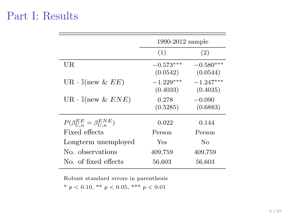#### Part I: Results

|                                           | 1990-2012 sample        |                         |
|-------------------------------------------|-------------------------|-------------------------|
|                                           | (1)                     | (2)                     |
| UR.                                       | $-0.573***$<br>(0.0542) | $-0.580***$<br>(0.0544) |
| $UR \cdot \mathbb{I}(\text{new } \& EE)$  | $-1.229***$<br>(0.4033) | $-1.247***$<br>(0.4035) |
| $UR \cdot \mathbb{I}(\text{new} \& ENE)$  | 0.278<br>(0.5285)       | $-0.090$<br>(0.6883)    |
| $P(\beta_{U,n}^{EE} = \beta_{U,n}^{ENE})$ | 0.022                   | 0.144                   |
| Fixed effects                             | Person                  | Person                  |
| Longterm unemployed                       | Yes                     | Nο                      |
| No. observations                          | 409,759                 | 409,759                 |
| No. of fixed effects                      | 56,603                  | 56,603                  |
|                                           |                         |                         |

Robust standard errors in parenthesis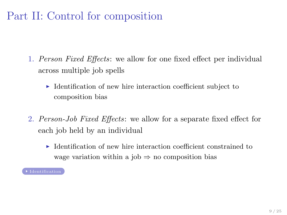## Part II: Control for composition

- <span id="page-9-0"></span>1. Person Fixed Effects: we allow for one fixed effect per individual across multiple job spells
	- $\blacktriangleright$  Identification of new hire interaction coefficient subject to composition bias
- 2. Person-Job Fixed Effects: we allow for a separate fixed effect for each job held by an individual
	- $\blacktriangleright$  Identification of new hire interaction coefficient constrained to wage variation within a job  $\Rightarrow$  no composition bias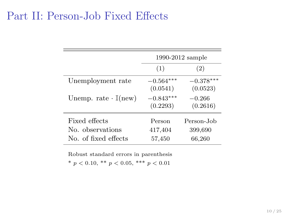#### Part II: Person-Job Fixed Effects

|                                        | 1990-2012 sample        |                         |  |
|----------------------------------------|-------------------------|-------------------------|--|
|                                        | (1)                     | (2)                     |  |
| Unemployment rate                      | $-0.564***$<br>(0.0541) | $-0.378***$<br>(0.0523) |  |
| Unemp. rate $\cdot$ $\mathbb{I}$ (new) | $-0.843***$<br>(0.2293) | $-0.266$<br>(0.2616)    |  |
| Fixed effects                          | Person                  | Person-Job              |  |
| No. observations                       | 417,404                 | 399,690                 |  |
| No. of fixed effects                   | 57,450                  | 66,260                  |  |

Robust standard errors in parenthesis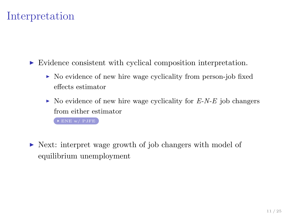## Interpretation

<span id="page-11-0"></span>In Evidence consistent with cyclical composition interpretation.

- $\triangleright$  No evidence of new hire wage cyclicality from person-job fixed effects estimator
- $\triangleright$  No evidence of new hire wage cyclicality for E-N-E job changers from either estimator

[ENE w/ PJFE](#page-34-0)

► Next: interpret wage growth of job changers with model of equilibrium unemployment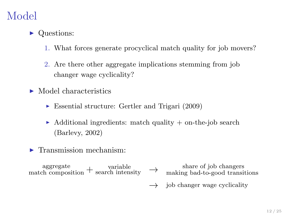## Model

- Questions:
	- 1. What forces generate procyclical match quality for job movers?
	- 2. Are there other aggregate implications stemming from job changer wage cyclicality?
- $\blacktriangleright$  Model characteristics
	- $\triangleright$  Essential structure: Gertler and Trigari (2009)
	- $\blacktriangleright$  Additional ingredients: match quality  $+$  on-the-job search (Barlevy, 2002)
- $\blacktriangleright$  Transmission mechanism:

 $\alpha$  aggregate<br>match composition + search intensity  $\rightarrow$  share of job changers<br>match composition + search intensity  $\rightarrow$  making bad-to-good transi making bad-to-good transitions

 $\rightarrow$ job changer wage cyclicality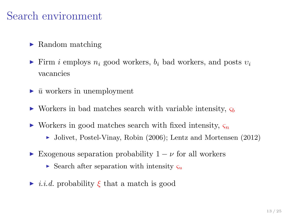## Search environment

- $\blacktriangleright$  Random matching
- Firm i employs  $n_i$  good workers,  $b_i$  bad workers, and posts  $v_i$ vacancies
- $\blacktriangleright \bar{u}$  workers in unemployment
- $\triangleright$  Workers in bad matches search with variable intensity,  $\varsigma_b$
- If Workers in good matches search with fixed intensity,  $\zeta_n$ 
	- $\blacktriangleright$  Jolivet, Postel-Vinay, Robin (2006); Lentz and Mortensen (2012)
- ► Exogenous separation probability  $1 \nu$  for all workers
	- $\triangleright$  Search after separation with intensity  $\varsigma_u$
- $\rightarrow$  *i.i.d.* probability  $\xi$  that a match is good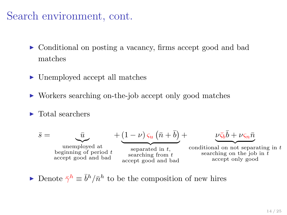## Search environment, cont.

- $\triangleright$  Conditional on posting a vacancy, firms accept good and bad matches
- $\blacktriangleright$  Unemployed accept all matches
- ▶ Workers searching on-the-job accept only good matches
- $\blacktriangleright$  Total searchers

$$
\bar{s} = \underbrace{\bar{u}}_{\substack{\text{unemployed at} \\ \text{beginning of period } t \\ \text{accept good and bad}}} + \underbrace{(1 - \nu) \zeta_u (\bar{n} + \bar{b})}_{\substack{\text{separated in } t, \\ \text{accept good and bad}}} + \underbrace{\nu \bar{\zeta_b} \bar{b} + \nu \zeta_n \bar{n}}_{\substack{\text{searching on the job in } t \\ \text{accept only good}}} \\
$$

Denote  $\bar{\gamma}^h \equiv \bar{b}^h / \bar{n}^h$  to be the composition of new hires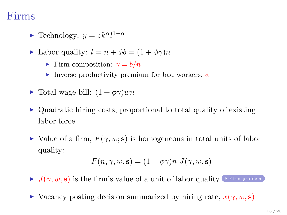### Firms

- <span id="page-15-0"></span>► Technology:  $y = zk^{\alpha}l^{1-\alpha}$
- $\blacktriangleright$  Labor quality:  $l = n + \phi b = (1 + \phi \gamma)n$ 
	- Firm composition:  $\gamma = b/n$
	- Inverse productivity premium for bad workers,  $\phi$
- $\blacktriangleright$  Total wage bill:  $(1 + \phi \gamma)$ *wn*
- $\triangleright$  Quadratic hiring costs, proportional to total quality of existing labor force
- $\blacktriangleright$  Value of a firm,  $F(\gamma, w; \mathbf{s})$  is homogeneous in total units of labor quality:

$$
F(n, \gamma, w, \mathbf{s}) = (1 + \phi \gamma)n \ J(\gamma, w, \mathbf{s})
$$

 $J(\gamma, w, s)$  is the firm's value of a unit of labor quality  $\gamma$  [Firm problem](#page-35-0)

 $\triangleright$  Vacancy posting decision summarized by hiring rate,  $x(\gamma, w, s)$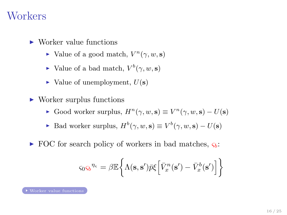#### **Workers**

- <span id="page-16-0"></span> $\blacktriangleright$  Worker value functions
	- $\blacktriangleright$  Value of a good match,  $V^n(\gamma, w, s)$
	- $\blacktriangleright$  Value of a bad match,  $V^b(\gamma, w, s)$
	- $\blacktriangleright$  Value of unemployment,  $U(\mathbf{s})$
- $\triangleright$  Worker surplus functions
	- ► Good worker surplus,  $H^n(\gamma, w, \mathbf{s}) \equiv V^n(\gamma, w, \mathbf{s}) U(\mathbf{s})$
	- ► Bad worker surplus,  $H^b(\gamma, w, s) \equiv V^b(\gamma, w, s) U(s)$
- $\triangleright$  FOC for search policy of workers in bad matches,  $\varsigma_b$ :

$$
\varsigma_0 \varsigma_b^{\eta_{\varsigma}} = \beta \mathbb{E} \bigg\{ \Lambda(\mathbf{s}, \mathbf{s}') \bar{p} \xi \Big[ \bar{V}_x^n(\mathbf{s}') - \bar{V}_x^b(\mathbf{s}') \Big] \bigg\}
$$

[Worker value functions](#page-37-0)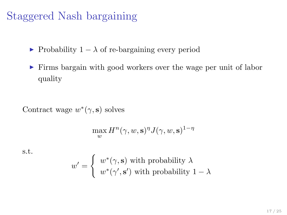## Staggered Nash bargaining

- $\triangleright$  Probability 1 −  $\lambda$  of re-bargaining every period
- <sup>I</sup> Firms bargain with good workers over the wage per unit of labor quality

Contract wage  $w^*(\gamma, \mathbf{s})$  solves

$$
\max_{w} H^{n}(\gamma, w, \mathbf{s})^{\eta} J(\gamma, w, \mathbf{s})^{1-\eta}
$$

s.t.

$$
w' = \begin{cases} w^*(\gamma, \mathbf{s}) \text{ with probability } \lambda \\ w^*(\gamma', \mathbf{s}') \text{ with probability } 1 - \lambda \end{cases}
$$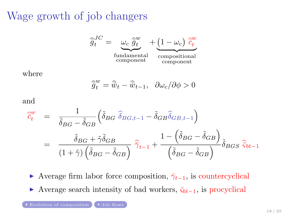## <span id="page-18-0"></span>Wage growth of job changers



where

$$
\widehat{\overline{g}}_t^w = \widehat{\overline{w}}_t - \widehat{\overline{w}}_{t-1}, \ \ \partial \omega_c / \partial \phi > 0
$$

and

$$
\begin{split}\n\hat{\tilde{c}}_{t}^{w} &= \frac{1}{\tilde{\delta}_{BG} - \tilde{\delta}_{GB}} \Big( \tilde{\delta}_{BG} \ \hat{\delta}_{BG,t-1} - \tilde{\delta}_{GB} \hat{\delta}_{GB,t-1} \Big) \\
&= \frac{\tilde{\delta}_{BG} + \tilde{\gamma} \tilde{\delta}_{GB}}{(1 + \tilde{\gamma}) \left( \tilde{\delta}_{BG} - \tilde{\delta}_{GB} \right)} \ \hat{\tilde{\gamma}}_{t-1} + \frac{1 - \left( \tilde{\delta}_{BG} - \tilde{\delta}_{GB} \right)}{\left( \tilde{\delta}_{BG} - \tilde{\delta}_{GB} \right)} \tilde{\delta}_{BGS} \ \hat{\tilde{\varsigma}}_{bt-1}\n\end{split}
$$

 $\triangleright$  Average firm labor force composition,  $\bar{\gamma}_{t-1}$ , is countercyclical  $\triangleright$  Average search intensity of bad workers,  $\overline{\varsigma}_{bt-1}$ , is procyclical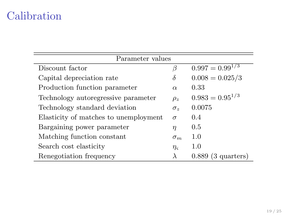## Calibration

| Parameter values                      |                    |                       |  |  |  |
|---------------------------------------|--------------------|-----------------------|--|--|--|
| Discount factor                       | β                  | $0.997 = 0.99^{1/3}$  |  |  |  |
| Capital depreciation rate             | $\delta$           | $0.008 = 0.025/3$     |  |  |  |
| Production function parameter         | $\alpha$           | 0.33                  |  |  |  |
| Technology autoregressive parameter   | $\rho_z$           | $0.983 = 0.95^{1/3}$  |  |  |  |
| Technology standard deviation         | $\sigma_z$         | 0.0075                |  |  |  |
| Elasticity of matches to unemployment | $\sigma$           | 0.4                   |  |  |  |
| Bargaining power parameter            | $\eta$             | 0.5                   |  |  |  |
| Matching function constant            | $\sigma_m$         | 1.0                   |  |  |  |
| Search cost elasticity                | $\eta_{\varsigma}$ | 1.0                   |  |  |  |
| Renegotiation frequency               | $\lambda$          | (3 quarters)<br>0.889 |  |  |  |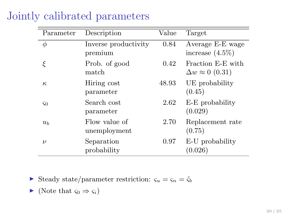| Parameter      | Description                     | Value | Target                                           |
|----------------|---------------------------------|-------|--------------------------------------------------|
| φ              | Inverse productivity<br>premium | 0.84  | Average E-E wage<br>increase $(4.5\%)$           |
| ξ              | Prob. of good<br>match          | 0.42  | Fraction E-E with<br>$\Delta w \approx 0$ (0.31) |
| $\kappa$       | Hiring cost<br>parameter        | 48.93 | UE probability<br>(0.45)                         |
| $\varsigma_0$  | Search cost<br>parameter        | 2.62  | E-E probability<br>(0.029)                       |
| u <sub>b</sub> | Flow value of<br>unemployment   | 2.70  | Replacement rate<br>(0.75)                       |
| $\nu$          | Separation<br>probability       | 0.97  | E-U probability<br>(0.026)                       |

### Jointly calibrated parameters

 $\triangleright$  Steady state/parameter restriction:  $\varsigma_u = \varsigma_n = \tilde{\varsigma}_b$ 

$$
\blacktriangleright \text{ (Note that } \varsigma_0 \Rightarrow \varsigma_i)
$$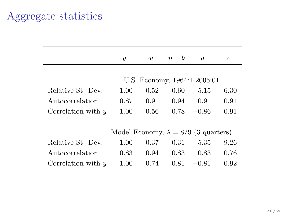## Aggregate statistics

|                      | $\boldsymbol{y}$                            | w    | $n + b$ | $\boldsymbol{u}$             | $\boldsymbol{\eta}$ |
|----------------------|---------------------------------------------|------|---------|------------------------------|---------------------|
|                      |                                             |      |         | U.S. Economy, 1964:1-2005:01 |                     |
| Relative St. Dev.    | 1.00                                        | 0.52 | 0.60    | 5.15                         | 6.30                |
| Autocorrelation      | 0.87                                        | 0.91 | 0.94    | 0.91                         | 0.91                |
| Correlation with $y$ | 1.00                                        | 0.56 | 0.78    | $-0.86$                      | 0.91                |
|                      | Model Economy, $\lambda = 8/9$ (3 quarters) |      |         |                              |                     |
| Relative St. Dev.    | 1.00                                        | 0.37 | 0.31    | 5.35                         | 9.26                |
| Autocorrelation      | 0.83                                        | 0.94 | 0.83    | 0.83                         | 0.76                |
| Correlation with $y$ | 1.00                                        | 0.74 | 0.81    | $-0.81$                      | 0.92                |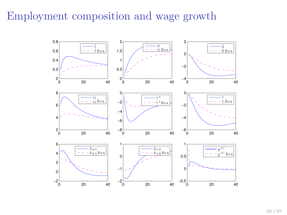## Employment composition and wage growth

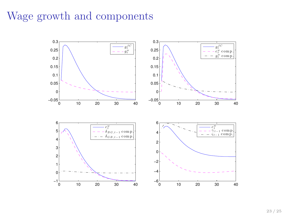## Wage growth and components

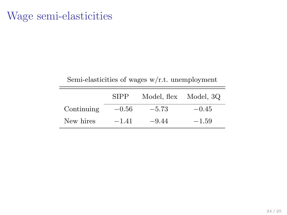## Wage semi-elasticities

| $\beta$ can be a $\beta$ of wages $\alpha$ /1.0. unemployment |         |         |         |  |  |
|---------------------------------------------------------------|---------|---------|---------|--|--|
| <b>SIPP</b><br>Model, flex<br>Model, 3Q                       |         |         |         |  |  |
| Continuing                                                    | $-0.56$ | $-5.73$ | $-0.45$ |  |  |
| New hires                                                     | $-1.41$ | $-9.44$ | $-1.59$ |  |  |

 $\mathcal{L}_{\text{em}}$  elasticities of wages w/r.t. unemployment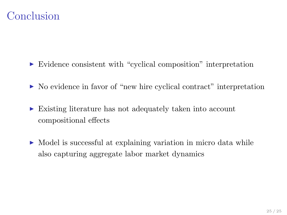## Conclusion

- <sup>I</sup> Evidence consistent with "cyclical composition" interpretation
- $\triangleright$  No evidence in favor of "new hire cyclical contract" interpretation
- $\triangleright$  Existing literature has not adequately taken into account compositional effects
- $\triangleright$  Model is successful at explaining variation in micro data while also capturing aggregate labor market dynamics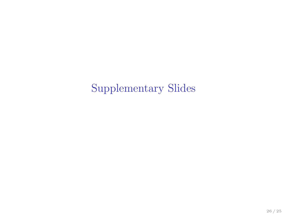Supplementary Slides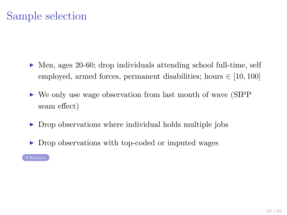## Sample selection

- <span id="page-27-0"></span> $\triangleright$  Men, ages 20-60; drop individuals attending school full-time, self employed, armed forces, permanent disabilities; hours  $\in [10, 100]$
- $\triangleright$  We only use wage observation from last month of wave (SIPP) seam effect)
- $\triangleright$  Drop observations where individual holds multiple jobs
- ▶ Drop observations with top-coded or imputed wages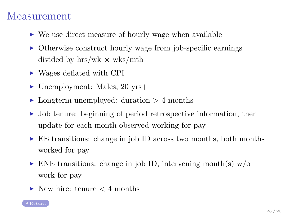#### Measurement

- <span id="page-28-0"></span> $\triangleright$  We use direct measure of hourly wage when available
- $\triangleright$  Otherwise construct hourly wage from job-specific earnings divided by hrs/wk  $\times$  wks/mth
- $\triangleright$  Wages deflated with CPI
- $\blacktriangleright$  Unemployment: Males, 20 yrs+
- $\blacktriangleright$  Longterm unemployed: duration  $> 4$  months
- $\triangleright$  Job tenure: beginning of period retrospective information, then update for each month observed working for pay
- ► EE transitions: change in job ID across two months, both months worked for pay
- $\triangleright$  ENE transitions: change in job ID, intervening month(s) w/o work for pay
- $\blacktriangleright$  New hire: tenure  $\lt 4$  months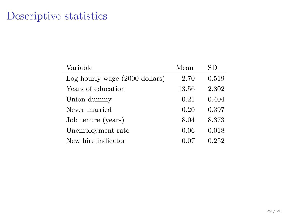## Descriptive statistics

<span id="page-29-0"></span>

| Variable                       | Mean  | SD    |
|--------------------------------|-------|-------|
| Log hourly wage (2000 dollars) | 2.70  | 0.519 |
| Years of education             | 13.56 | 2.802 |
| Union dummy                    | 0.21  | 0.404 |
| Never married                  | 0.20  | 0.397 |
| Job tenure (years)             | 8.04  | 8.373 |
| Unemployment rate              | 0.06  | 0.018 |
| New hire indicator             |       | 0.252 |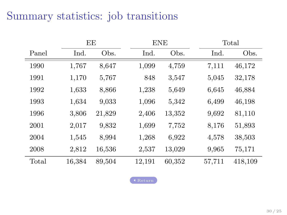## Summary statistics: job transitions

|       |        | EE     |        | <b>ENE</b> |        | Total   |
|-------|--------|--------|--------|------------|--------|---------|
| Panel | Ind.   | Obs.   | Ind.   | Obs.       | Ind.   | Obs.    |
| 1990  | 1,767  | 8,647  | 1,099  | 4,759      | 7,111  | 46,172  |
| 1991  | 1,170  | 5,767  | 848    | 3,547      | 5,045  | 32,178  |
| 1992  | 1,633  | 8,866  | 1,238  | 5,649      | 6,645  | 46,884  |
| 1993  | 1,634  | 9.033  | 1,096  | 5,342      | 6,499  | 46,198  |
| 1996  | 3,806  | 21,829 | 2,406  | 13,352     | 9,692  | 81,110  |
| 2001  | 2,017  | 9,832  | 1,699  | 7.752      | 8,176  | 51,893  |
| 2004  | 1,545  | 8,994  | 1,268  | 6,922      | 4,578  | 38,503  |
| 2008  | 2,812  | 16,536 | 2,537  | 13,029     | 9,965  | 75,171  |
| Total | 16,384 | 89,504 | 12,191 | 60,352     | 57,711 | 418,109 |

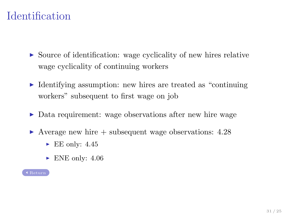## Identification

- <span id="page-31-0"></span> $\triangleright$  Source of identification: wage cyclicality of new hires relative wage cyclicality of continuing workers
- $\triangleright$  Identifying assumption: new hires are treated as "continuing" workers" subsequent to first wage on job
- ▶ Data requirement: wage observations after new hire wage
- $\blacktriangleright$  Average new hire  $+$  subsequent wage observations: 4.28
	- $\blacktriangleright$  EE only: 4.45
	- $\blacktriangleright$  ENE only: 4.06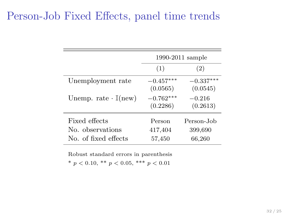## Person-Job Fixed Effects, panel time trends

|                                          | 1990-2011 sample        |                         |
|------------------------------------------|-------------------------|-------------------------|
|                                          | (1)                     | (2)                     |
| Unemployment rate                        | $-0.457***$<br>(0.0565) | $-0.337***$<br>(0.0545) |
| Unemp. rate $\cdot$ I(new)               | $-0.762***$<br>(0.2286) | $-0.216$<br>(0.2613)    |
| Fixed effects                            | Person                  | Person-Job              |
| No. observations<br>No. of fixed effects | 417,404<br>57,450       | 399,690<br>66,260       |

Robust standard errors in parenthesis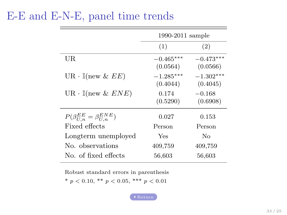## E-E and E-N-E, panel time trends

|                                           | 1990-2011 sample        |                         |  |
|-------------------------------------------|-------------------------|-------------------------|--|
|                                           | (1)                     | (2)                     |  |
| UR.                                       | $-0.465***$<br>(0.0564) | $-0.473***$<br>(0.0566) |  |
| $UR \cdot \mathbb{I}(\text{new } \& EE)$  | $-1.285***$<br>(0.4044) | $-1.302***$<br>(0.4045) |  |
| $UR \cdot \mathbb{I}(\text{new} \& ENE)$  | 0.174<br>(0.5290)       | $-0.168$<br>(0.6908)    |  |
| $P(\beta_{U,n}^{EE} = \beta_{U,n}^{ENE})$ | 0.027                   | 0.153                   |  |
| Fixed effects                             | Person                  | Person                  |  |
| Longterm unemployed                       | Yes                     | Nο                      |  |
| No. observations                          | 409,759                 | 409,759                 |  |
| No. of fixed effects                      | 56,603                  | 56,603                  |  |

Robust standard errors in parenthesis

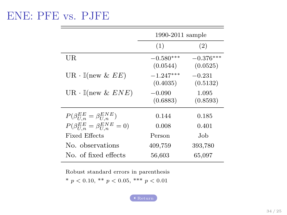#### <span id="page-34-0"></span>ENE: PFE vs. PJFE

|                                               | $1990-2011$ sample      |                         |  |
|-----------------------------------------------|-------------------------|-------------------------|--|
|                                               | (1)                     | (2)                     |  |
| UR.                                           | $-0.580***$<br>(0.0544) | $-0.376***$<br>(0.0525) |  |
| $UR \cdot \mathbb{I}(\text{new} \& EE)$       | $-1.247***$<br>(0.4035) | $-0.231$<br>(0.5132)    |  |
| $UR \cdot \mathbb{I}(\text{new} \& ENE)$      | $-0.090$<br>(0.6883)    | 1.095<br>(0.8593)       |  |
| $P(\beta_{U,n}^{EE} = \beta_{U,n}^{ENE})$     | 0.144                   | 0.185                   |  |
| $P(\beta_{U,n}^{EE} = \beta_{U,n}^{ENE} = 0)$ | 0.008                   | 0.401                   |  |
| Fixed Effects                                 | Person                  | Job.                    |  |
| No. observations                              | 409,759                 | 393,780                 |  |
| No. of fixed effects                          | 56,603                  | 65,097                  |  |

Robust standard errors in parenthesis

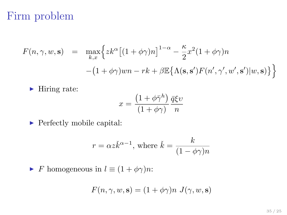## Firm problem

<span id="page-35-0"></span>
$$
F(n, \gamma, w, \mathbf{s}) = \max_{k, x} \left\{ z k^{\alpha} \left[ (1 + \phi \gamma) n \right]^{1 - \alpha} - \frac{\kappa}{2} x^2 (1 + \phi \gamma) n - (1 + \phi \gamma) w n - rk + \beta \mathbb{E} \{ \Lambda(\mathbf{s}, \mathbf{s}') F(n', \gamma', w', \mathbf{s}') | w, \mathbf{s}) \} \right\}
$$

 $\blacktriangleright$  Hiring rate:

$$
x = \frac{\left(1 + \phi \bar{\gamma}^h\right)}{\left(1 + \phi \gamma\right)} \frac{\bar{q}\xi \upsilon}{n}
$$

 $\blacktriangleright$  Perfectly mobile capital:

$$
r = \alpha z \check{k}^{\alpha - 1}
$$
, where  $\check{k} = \frac{k}{(1 - \phi \gamma)n}$ 

 $\triangleright$  F homogeneous in  $l \equiv (1 + \phi \gamma)n$ :

$$
F(n,\gamma,w,\mathbf{s})=(1+\phi\gamma)n\ J(\gamma,w,\mathbf{s})
$$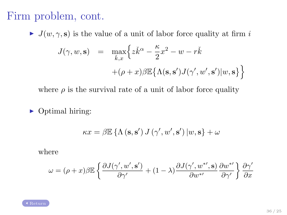## Firm problem, cont.

 $J(w, \gamma, s)$  is the value of a unit of labor force quality at firm i

$$
J(\gamma, w, \mathbf{s}) = \max_{\check{k}, x} \left\{ z \check{k}^{\alpha} - \frac{\kappa}{2} x^2 - w - r \check{k} + (\rho + x) \beta \mathbb{E} \{ \Lambda(\mathbf{s}, \mathbf{s}') J(\gamma', w', \mathbf{s}') | w, \mathbf{s} \} \right\}
$$

where  $\rho$  is the survival rate of a unit of labor force quality

 $\triangleright$  Optimal hiring:

$$
\kappa x=\beta\mathbb{E}\left\{ \Lambda\left(\mathbf{s},\mathbf{s}^{\prime}\right) J\left(\gamma^{\prime},w^{\prime},\mathbf{s}^{\prime}\right)\left|\boldsymbol{w},\mathbf{s}\right.\right\} +\omega
$$

where

$$
\omega = (\rho + x)\beta \mathbb{E}\left\{\frac{\partial J(\gamma', w', \mathbf{s}')}{\partial \gamma'} + (1 - \lambda)\frac{\partial J(\gamma', w^{* \prime}, \mathbf{s})}{\partial w^{* \prime}} \frac{\partial w^{* \prime}}{\partial \gamma'}\right\} \frac{\partial \gamma'}{\partial x}
$$

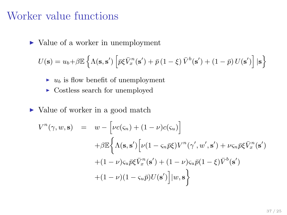#### Worker value functions

<span id="page-37-0"></span> $\triangleright$  Value of a worker in unemployment

$$
U(\mathbf{s}) = u_b + \beta \mathbb{E} \left\{ \Lambda(\mathbf{s}, \mathbf{s}') \left[ \bar{p} \xi \bar{V}_x^n(\mathbf{s}') + \bar{p} (1 - \xi) \bar{V}^b(\mathbf{s}') + (1 - \bar{p}) U(\mathbf{s}') \right] | \mathbf{s} \right\}
$$

- $\rightarrow u_b$  is flow benefit of unemployment
- $\triangleright$  Costless search for unemployed
- ► Value of worker in a good match

$$
V^n(\gamma, w, \mathbf{s}) = w - \left[ \nu c(\varsigma_n) + (1 - \nu) c(\varsigma_u) \right]
$$
  
+  $\beta \mathbb{E} \left\{ \Lambda(\mathbf{s}, \mathbf{s}') \left[ \nu (1 - \varsigma_n \bar{p} \xi) V^n(\gamma', w', \mathbf{s}') + \nu \varsigma_n \bar{p} \xi \bar{V}_x^n(\mathbf{s}') \right. \right.+ (1 - \nu) \varsigma_u \bar{p} \xi \bar{V}_x^n(\mathbf{s}') + (1 - \nu) \varsigma_u \bar{p} (1 - \xi) \bar{V}^b(\mathbf{s}')+ (1 - \nu) (1 - \varsigma_u \bar{p}) U(\mathbf{s}') \left] |w, \mathbf{s} \right\}$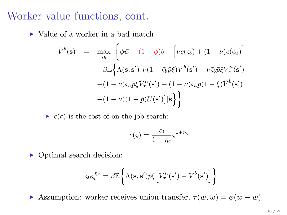#### Worker value functions, cont.

 $\triangleright$  Value of a worker in a bad match

$$
\overline{V}^b(\mathbf{s}) = \max_{\varsigma_b} \left\{ \phi \overline{w} + (1 - \phi)b - \left[ \nu c(\varsigma_b) + (1 - \nu)c(\varsigma_u) \right] \right\}
$$

$$
+ \beta \mathbb{E} \left\{ \Lambda(\mathbf{s}, \mathbf{s}') \left[ \nu (1 - \overline{\varsigma_b} \overline{p} \xi) \overline{V}^b(\mathbf{s}') + \nu \overline{\varsigma_b} \overline{p} \xi \overline{V}_x^n(\mathbf{s}') \right. \right.
$$

$$
+ (1 - \nu)\varsigma_u \overline{p} \xi \overline{V}_x^n(\mathbf{s}') + (1 - \nu)\varsigma_u \overline{p} (1 - \xi) \overline{V}^b(\mathbf{s}')
$$

$$
+ (1 - \nu)(1 - \overline{p})U(\mathbf{s}') \left| \mathbf{s} \right\} \right\}
$$

 $\triangleright$  c( $\varsigma$ ) is the cost of on-the-job search:

$$
c(\varsigma) = \frac{\varsigma_0}{1 + \eta_{\varsigma}} \varsigma^{1 + \eta_{\varsigma}}
$$

 $\triangleright$  Optimal search decision:

$$
\varsigma_0\varsigma_b^{\eta_{\varsigma}}=\beta\mathbb{E}\bigg\{\Lambda(\mathbf{s},\mathbf{s}')\bar{p}\xi\Big[\bar{V}_x^{n}(\mathbf{s}')-\bar{V}^{b}(\mathbf{s}')\Big]\bigg\}
$$

**I** Assumption: worker receives union transfer,  $\tau(w, \bar{w}) = \phi(\bar{w} - w)$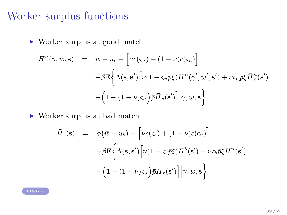## Worker surplus functions

 $\blacktriangleright$  Worker surplus at good match

$$
H^{n}(\gamma, w, \mathbf{s}) = w - u_{b} - \left[\nu c(\varsigma_{n}) + (1 - \nu)c(\varsigma_{u})\right]
$$

$$
+ \beta \mathbb{E}\left\{\Lambda(\mathbf{s}, \mathbf{s}')\left[\nu(1 - \varsigma_{n}\bar{p}\xi)H^{n}(\gamma', w', \mathbf{s}') + \nu\varsigma_{n}\bar{p}\xi\bar{H}_{x}^{n}(\mathbf{s}')\right]
$$

$$
-\left(1 - (1 - \nu)\varsigma_{u}\right)\bar{p}\bar{H}_{x}(\mathbf{s}')\right|\gamma, w, \mathbf{s}
$$

 $\blacktriangleright$  Worker surplus at bad match

$$
\begin{array}{rcl}\n\bar{H}^b(\mathbf{s}) & = & \phi(\bar{w} - u_b) - \left[\nu c(\varsigma_b) + (1 - \nu)c(\varsigma_u)\right] \\
& & + \beta \mathbb{E}\left\{\Lambda(\mathbf{s}, \mathbf{s}')\left[\nu(1 - \varsigma_b \bar{p}\xi)\bar{H}^b(\mathbf{s}') + \nu \varsigma_b \bar{p}\xi \bar{H}_x^n(\mathbf{s}')\right. \\
& & -\left(1 - (1 - \nu)\varsigma_u\right)\bar{p}\bar{H}_x(\mathbf{s}')\right]\middle|\gamma, w, \mathbf{s}\right\}\n\end{array}
$$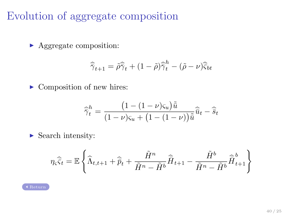## Evolution of aggregate composition

<span id="page-40-0"></span> $\blacktriangleright$  Aggregate composition:

$$
\widehat{\widetilde{\gamma}}_{t+1} = \widetilde{\rho}\widehat{\widetilde{\gamma}}_t + (1-\widetilde{\rho})\widehat{\widetilde{\gamma}}_t^h - (\widetilde{\rho} - \nu)\widehat{\widetilde{\varsigma}}_{bt}
$$

 $\blacktriangleright$  Composition of new hires:

$$
\widehat{\widetilde{\gamma}}_t^h = \frac{\left(1 - (1 - \nu)\varsigma_u\right)\widetilde{\widetilde{u}}}{\left(1 - \nu\right)\varsigma_u + \left(1 - (1 - \nu)\right)\widetilde{\widetilde{u}}}\widehat{\widetilde{u}}_t - \widehat{\widetilde{s}}_t
$$

 $\blacktriangleright$  Search intensity:

$$
\eta_{\varsigma}\widehat{\overline{\varsigma}}_t = \mathbb{E}\left\{\widehat{\Lambda}_{t,t+1} + \widehat{\overline{p}}_t + \frac{\tilde{H}^n}{\tilde{H}^n - \tilde{H}^b}\widehat{\overline{H}}_{t+1} - \frac{\tilde{H}^b}{\tilde{H}^n - \tilde{H}^b}\widehat{\overline{H}}_{t+1}^b\right\}
$$